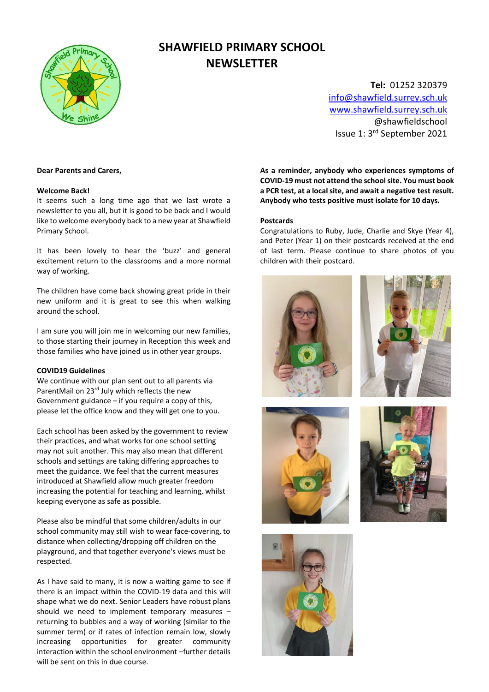

# SHAWFIELD PRIMARY SCHOOL **NEWSLETTER**

Tel: 01252 320379 info@shawfield.surrey.sch.uk www.shawfield.surrey.sch.uk @shawfieldschool Issue 1: 3rd September 2021

#### Dear Parents and Carers,

#### Welcome Back!

It seems such a long time ago that we last wrote a newsletter to you all, but it is good to be back and I would like to welcome everybody back to a new year at Shawfield Primary School.

It has been lovely to hear the 'buzz' and general excitement return to the classrooms and a more normal way of working.

The children have come back showing great pride in their new uniform and it is great to see this when walking around the school.

I am sure you will join me in welcoming our new families, to those starting their journey in Reception this week and those families who have joined us in other year groups.

#### COVID19 Guidelines

We continue with our plan sent out to all parents via ParentMail on 23rd July which reflects the new Government guidance – if you require a copy of this, please let the office know and they will get one to you.

Each school has been asked by the government to review their practices, and what works for one school setting may not suit another. This may also mean that different schools and settings are taking differing approaches to meet the guidance. We feel that the current measures introduced at Shawfield allow much greater freedom increasing the potential for teaching and learning, whilst keeping everyone as safe as possible.

Please also be mindful that some children/adults in our school community may still wish to wear face-covering, to distance when collecting/dropping off children on the playground, and that together everyone's views must be respected.

As I have said to many, it is now a waiting game to see if there is an impact within the COVID-19 data and this will shape what we do next. Senior Leaders have robust plans should we need to implement temporary measures – returning to bubbles and a way of working (similar to the summer term) or if rates of infection remain low, slowly increasing opportunities for greater community interaction within the school environment –further details will be sent on this in due course.

As a reminder, anybody who experiences symptoms of COVID-19 must not attend the school site. You must book a PCR test, at a local site, and await a negative test result. Anybody who tests positive must isolate for 10 days.

#### Postcards

Congratulations to Ruby, Jude, Charlie and Skye (Year 4), and Peter (Year 1) on their postcards received at the end of last term. Please continue to share photos of you children with their postcard.

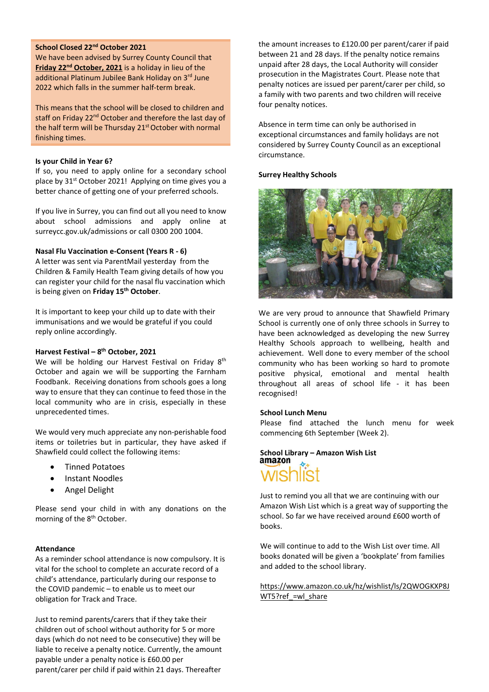# School Closed 22nd October 2021

We have been advised by Surrey County Council that Friday 22<sup>nd</sup> October, 2021 is a holiday in lieu of the additional Platinum Jubilee Bank Holiday on 3rd June 2022 which falls in the summer half-term break.

This means that the school will be closed to children and staff on Friday 22<sup>nd</sup> October and therefore the last day of the half term will be Thursday 21<sup>st</sup> October with normal finishing times.

#### Is your Child in Year 6?

If so, you need to apply online for a secondary school place by 31<sup>st</sup> October 2021! Applying on time gives you a better chance of getting one of your preferred schools.

If you live in Surrey, you can find out all you need to know about school admissions and apply online at surreycc.gov.uk/admissions or call 0300 200 1004.

## Nasal Flu Vaccination e-Consent (Years R - 6)

A letter was sent via ParentMail yesterday from the Children & Family Health Team giving details of how you can register your child for the nasal flu vaccination which is being given on Friday 15<sup>th</sup> October.

It is important to keep your child up to date with their immunisations and we would be grateful if you could reply online accordingly.

# Harvest Festival –  $8^{th}$  October, 2021

We will be holding our Harvest Festival on Friday 8<sup>th</sup> October and again we will be supporting the Farnham Foodbank. Receiving donations from schools goes a long way to ensure that they can continue to feed those in the local community who are in crisis, especially in these unprecedented times.

We would very much appreciate any non-perishable food items or toiletries but in particular, they have asked if Shawfield could collect the following items:

- Tinned Potatoes
- Instant Noodles
- Angel Delight

Please send your child in with any donations on the morning of the 8<sup>th</sup> October.

#### Attendance

As a reminder school attendance is now compulsory. It is vital for the school to complete an accurate record of a child's attendance, particularly during our response to the COVID pandemic – to enable us to meet our obligation for Track and Trace.

Just to remind parents/carers that if they take their children out of school without authority for 5 or more days (which do not need to be consecutive) they will be liable to receive a penalty notice. Currently, the amount payable under a penalty notice is £60.00 per parent/carer per child if paid within 21 days. Thereafter

the amount increases to £120.00 per parent/carer if paid between 21 and 28 days. If the penalty notice remains unpaid after 28 days, the Local Authority will consider prosecution in the Magistrates Court. Please note that penalty notices are issued per parent/carer per child, so a family with two parents and two children will receive four penalty notices.

Absence in term time can only be authorised in exceptional circumstances and family holidays are not considered by Surrey County Council as an exceptional circumstance.

# Surrey Healthy Schools



We are very proud to announce that Shawfield Primary School is currently one of only three schools in Surrey to have been acknowledged as developing the new Surrey Healthy Schools approach to wellbeing, health and achievement. Well done to every member of the school community who has been working so hard to promote positive physical, emotional and mental health throughout all areas of school life - it has been recognised!

#### School Lunch Menu

Please find attached the lunch menu for week commencing 6th September (Week 2).

# School Library – Amazon Wish List<br>amazon

Just to remind you all that we are continuing with our Amazon Wish List which is a great way of supporting the school. So far we have received around £600 worth of books.

We will continue to add to the Wish List over time. All books donated will be given a 'bookplate' from families and added to the school library.

https://www.amazon.co.uk/hz/wishlist/ls/2QWOGKXP8J WT5?ref =wl share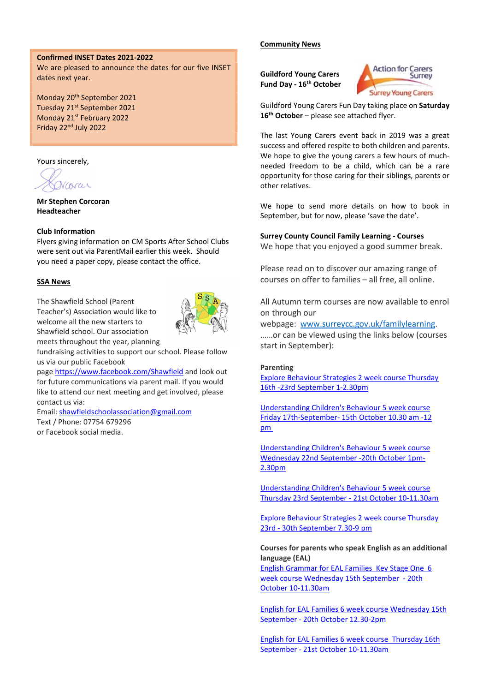# Confirmed INSET Dates 2021-2022

We are pleased to announce the dates for our five INSET dates next year.

Monday 20th September 2021 Tuesday 21<sup>st</sup> September 2021 Monday 21<sup>st</sup> February 2022 Friday 22nd July 2022

Yours sincerely,

Viorar

Mr Stephen Corcoran Headteacher

# Club Information

Flyers giving information on CM Sports After School Clubs were sent out via ParentMail earlier this week. Should you need a paper copy, please contact the office.

# **SSA News**

The Shawfield School (Parent Teacher's) Association would like to welcome all the new starters to Shawfield school. Our association meets throughout the year, planning



fundraising activities to support our school. Please follow us via our public Facebook

page https://www.facebook.com/Shawfield and look out for future communications via parent mail. If you would like to attend our next meeting and get involved, please contact us via:

Email: shawfieldschoolassociation@gmail.com Text / Phone: 07754 679296 or Facebook social media.

Community News

Guildford Young Carers Fund Day - 16<sup>th</sup> October



Guildford Young Carers Fun Day taking place on Saturday 16<sup>th</sup> October – please see attached flyer.

The last Young Carers event back in 2019 was a great success and offered respite to both children and parents. We hope to give the young carers a few hours of muchneeded freedom to be a child, which can be a rare opportunity for those caring for their siblings, parents or other relatives.

We hope to send more details on how to book in September, but for now, please 'save the date'.

### Surrey County Council Family Learning - Courses

We hope that you enjoyed a good summer break.

Please read on to discover our amazing range of courses on offer to families – all free, all online.

All Autumn term courses are now available to enrol on through our

webpage: www.surreycc.gov.uk/familylearning. ……or can be viewed using the links below (courses start in September):

#### Parenting

Explore Behaviour Strategies 2 week course Thursday 16th -23rd September 1-2.30pm

Understanding Children's Behaviour 5 week course Friday 17th-September- 15th October 10.30 am -12 pm

Understanding Children's Behaviour 5 week course Wednesday 22nd September -20th October 1pm-2.30pm

Understanding Children's Behaviour 5 week course Thursday 23rd September - 21st October 10-11.30am

Explore Behaviour Strategies 2 week course Thursday 23rd - 30th September 7.30-9 pm

# Courses for parents who speak English as an additional language (EAL)

English Grammar for EAL Families Key Stage One 6 week course Wednesday 15th September - 20th October 10-11.30am

English for EAL Families 6 week course Wednesday 15th September - 20th October 12.30-2pm

English for EAL Families 6 week course Thursday 16th September - 21st October 10-11.30am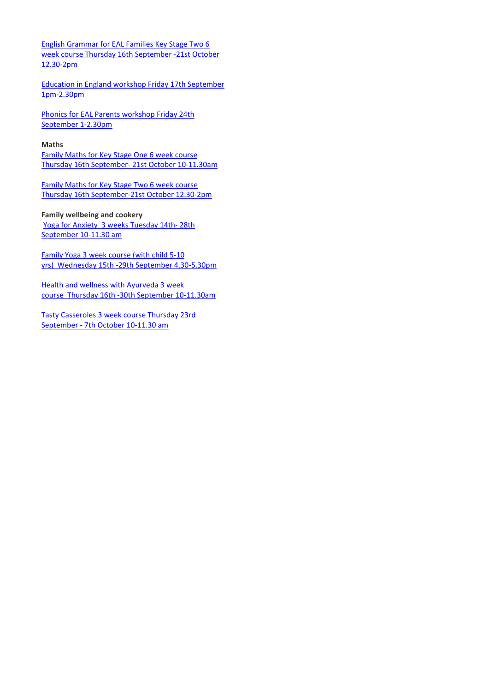English Grammar for EAL Families Key Stage Two 6 week course Thursday 16th September -21st October 12.30-2pm

Education in England workshop Friday 17th September 1pm-2.30pm

Phonics for EAL Parents workshop Friday 24th September 1-2.30pm

## Maths

Family Maths for Key Stage One 6 week course Thursday 16th September- 21st October 10-11.30am

Family Maths for Key Stage Two 6 week course Thursday 16th September-21st October 12.30-2pm

Family wellbeing and cookery

Yoga for Anxiety 3 weeks Tuesday 14th- 28th September 10-11.30 am

Family Yoga 3 week course (with child 5-10 yrs) Wednesday 15th -29th September 4.30-5.30pm

Health and wellness with Ayurveda 3 week course Thursday 16th -30th September 10-11.30am

Tasty Casseroles 3 week course Thursday 23rd September - 7th October 10-11.30 am